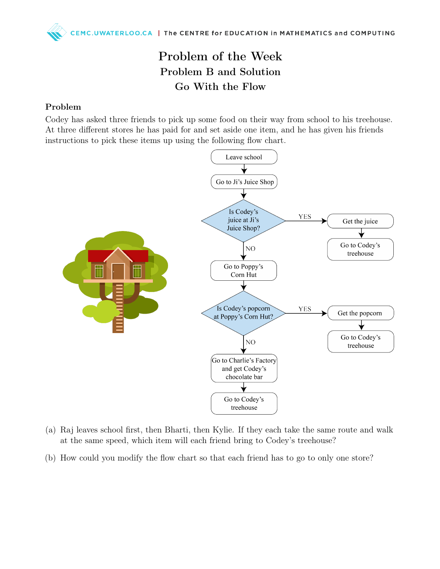## Problem of the Week Problem B and Solution Go With the Flow

## Problem

Codey has asked three friends to pick up some food on their way from school to his treehouse. At three different stores he has paid for and set aside one item, and he has given his friends instructions to pick these items up using the following flow chart.



- (a) Raj leaves school first, then Bharti, then Kylie. If they each take the same route and walk at the same speed, which item will each friend bring to Codey's treehouse?
- (b) How could you modify the flow chart so that each friend has to go to only one store?